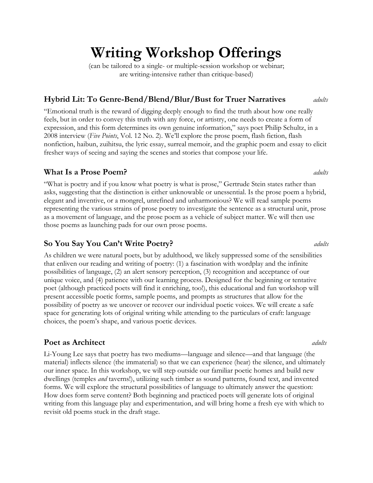# **Writing Workshop Offerings**

(can be tailored to a single- or multiple-session workshop or webinar; are writing-intensive rather than critique-based)

## **Hybrid Lit: To Genre-Bend/Blend/Blur/Bust for Truer Narratives** *adults*

"Emotional truth is the reward of digging deeply enough to find the truth about how one really feels, but in order to convey this truth with any force, or artistry, one needs to create a form of expression, and this form determines its own genuine information," says poet Philip Schultz, in a 2008 interview (*Five Points*, Vol. 12 No. 2). We'll explore the prose poem, flash fiction, flash nonfiction, haibun, zuihitsu, the lyric essay, surreal memoir, and the graphic poem and essay to elicit fresher ways of seeing and saying the scenes and stories that compose your life.

# **What Is a Prose Poem?** *adults*

"What is poetry and if you know what poetry is what is prose," Gertrude Stein states rather than asks, suggesting that the distinction is either unknowable or unessential. Is the prose poem a hybrid, elegant and inventive, or a mongrel, unrefined and unharmonious? We will read sample poems representing the various strains of prose poetry to investigate the sentence as a structural unit, prose as a movement of language, and the prose poem as a vehicle of subject matter. We will then use those poems as launching pads for our own prose poems.

As children we were natural poets, but by adulthood, we likely suppressed some of the sensibilities that enliven our reading and writing of poetry: (1) a fascination with wordplay and the infinite possibilities of language, (2) an alert sensory perception, (3) recognition and acceptance of our unique voice, and (4) patience with our learning process. Designed for the beginning or tentative poet (although practiced poets will find it enriching, too!), this educational and fun workshop will present accessible poetic forms, sample poems, and prompts as structures that allow for the possibility of poetry as we uncover or recover our individual poetic voices. We will create a safe space for generating lots of original writing while attending to the particulars of craft: language choices, the poem's shape, and various poetic devices.

# **Poet as Architect** *adults*

Li-Young Lee says that poetry has two mediums—language and silence—and that language (the material) inflects silence (the immaterial) so that we can experience (hear) the silence, and ultimately our inner space. In this workshop, we will step outside our familiar poetic homes and build new dwellings (temples *and* taverns!), utilizing such timber as sound patterns, found text, and invented forms. We will explore the structural possibilities of language to ultimately answer the question: How does form serve content? Both beginning and practiced poets will generate lots of original writing from this language play and experimentation, and will bring home a fresh eye with which to revisit old poems stuck in the draft stage.

**So You Say You Can't Write Poetry?** *adults*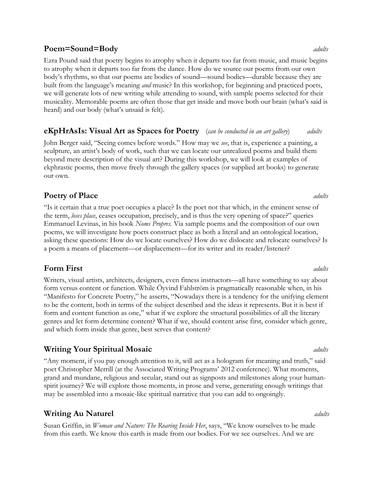### **Poem=Sound=Body** *adults*

Ezra Pound said that poetry begins to atrophy when it departs too far from music, and music begins to atrophy when it departs too far from the dance. How do we source our poems from our own body's rhythms, so that our poems are bodies of sound—sound bodies—durable because they are built from the language's meaning *and* music? In this workshop, for beginning and practiced poets, we will generate lots of new writing while attending to sound, with sample poems selected for their musicality. Memorable poems are often those that get inside and move both our brain (what's said is heard) and our body (what's unsaid is felt).

### **eKpHrAsIs: Visual Art as Spaces for Poetry** (*can be conducted in an art gallery*) *adults*

John Berger said, "Seeing comes before words." How may we *see*, that is, experience a painting, a sculpture, an artist's body of work, such that we can locate our unrealized poems and build them beyond mere description of the visual art? During this workshop, we will look at examples of ekphrastic poems, then move freely through the gallery spaces (or supplied art books) to generate our own.

# **Poetry of Place** *adults*

"Is it certain that a true poet occupies a place? Is the poet not that which, in the eminent sense of the term, *loses place*, ceases occupation, precisely, and is thus the very opening of space?" queries Emmanuel Levinas, in his book *Noms Propres*. Via sample poems and the composition of our own poems, we will investigate how poets construct place as both a literal and an ontological location, asking these questions: How do we locate ourselves? How do we dislocate and relocate ourselves? Is a poem a means of placement—or displacement—for its writer and its reader/listener?

# **Form First** *adults*

Writers, visual artists, architects, designers, even fitness instructors—all have something to say about form versus content or function. While Öyvind Fahlström is pragmatically reasonable when, in his "Manifesto for Concrete Poetry," he asserts, "Nowadays there is a tendency for the unifying element to be the content, both in terms of the subject described and the ideas it represents. But it is best if form and content function as one," what if we explore the structural possibilities of all the literary genres and let form determine content? What if we, should content arise first, consider which genre, and which form inside that genre, best serves that content?

# **Writing Your Spiritual Mosaic** *adults*

"Any moment, if you pay enough attention to it, will act as a hologram for meaning and truth," said poet Christopher Merrill (at the Associated Writing Programs' 2012 conference). What moments, grand and mundane, religious and secular, stand out as signposts and milestones along your humanspirit journey? We will explore those moments, in prose and verse, generating enough writings that may be assembled into a mosaic-like spiritual narrative that you can add to ongoingly.

# **Writing Au Naturel** and **adults** and **adults** and **adults**

Susan Griffin, in *Woman and Nature: The Roaring Inside Her*, says, "We know ourselves to be made from this earth. We know this earth is made from our bodies. For we see ourselves. And we are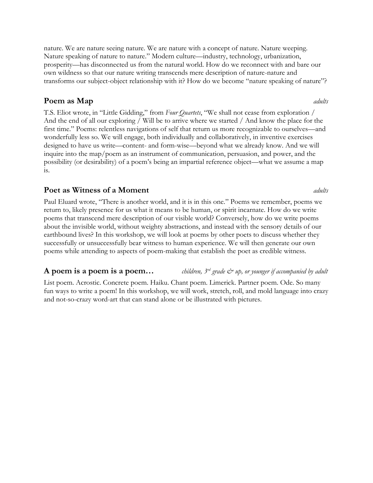nature. We are nature seeing nature. We are nature with a concept of nature. Nature weeping. Nature speaking of nature to nature." Modern culture—industry, technology, urbanization, prosperity—has disconnected us from the natural world. How do we reconnect with and bare our own wildness so that our nature writing transcends mere description of nature-nature and transforms our subject-object relationship with it? How do we become "nature speaking of nature"?

### **Poem as Map** *adults*

T.S. Eliot wrote, in "Little Gidding," from *Four Quartets*, "We shall not cease from exploration / And the end of all our exploring / Will be to arrive where we started / And know the place for the first time." Poems: relentless navigations of self that return us more recognizable to ourselves—and wonderfully less so. We will engage, both individually and collaboratively, in inventive exercises designed to have us write—content- and form-wise—beyond what we already know. And we will inquire into the map/poem as an instrument of communication, persuasion, and power, and the possibility (or desirability) of a poem's being an impartial reference object—what we assume a map is.

### **Poet as Witness of a Moment** *adults*

Paul Eluard wrote, "There is another world, and it is in this one." Poems we remember, poems we return to, likely presence for us what it means to be human, or spirit incarnate. How do we write poems that transcend mere description of our visible world? Conversely, how do we write poems about the invisible world, without weighty abstractions, and instead with the sensory details of our earthbound lives? In this workshop, we will look at poems by other poets to discuss whether they successfully or unsuccessfully bear witness to human experience. We will then generate our own poems while attending to aspects of poem-making that establish the poet as credible witness.

### **A poem is a poem is a poem...** *children, 3<sup>rd</sup> grade*  $\breve{\mathcal{C}}$  *up, or younger if accompanied by adult*

List poem. Acrostic. Concrete poem. Haiku. Chant poem. Limerick. Partner poem. Ode. So many fun ways to write a poem! In this workshop, we will work, stretch, roll, and mold language into crazy and not-so-crazy word-art that can stand alone or be illustrated with pictures.